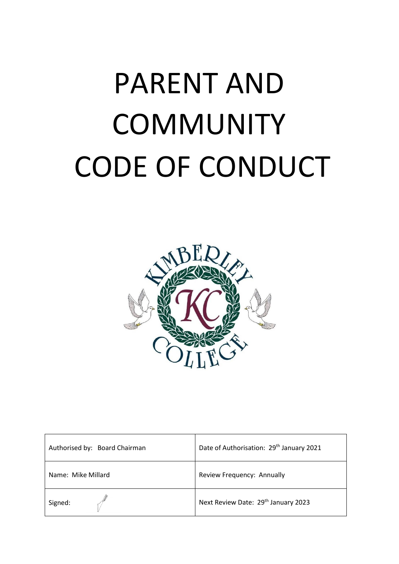# PARENT AND **COMMUNITY** CODE OF CONDUCT



| Authorised by: Board Chairman | Date of Authorisation: 29 <sup>th</sup> January 2021 |
|-------------------------------|------------------------------------------------------|
| Name: Mike Millard            | Review Frequency: Annually                           |
| Signed:                       | Next Review Date: 29th January 2023                  |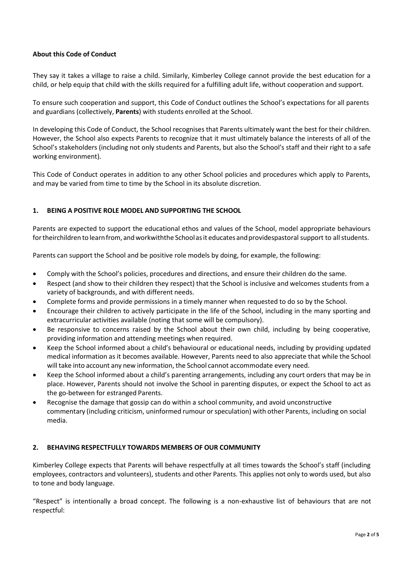# **About this Code of Conduct**

They say it takes a village to raise a child. Similarly, Kimberley College cannot provide the best education for a child, or help equip that child with the skills required for a fulfilling adult life, without cooperation and support.

To ensure such cooperation and support, this Code of Conduct outlines the School's expectations for all parents and guardians (collectively, **Parents**) with students enrolled at the School.

In developing this Code of Conduct, the School recognises that Parents ultimately want the best for their children. However, the School also expects Parents to recognize that it must ultimately balance the interests of all of the School's stakeholders (including not only students and Parents, but also the School's staff and their right to a safe working environment).

This Code of Conduct operates in addition to any other School policies and procedures which apply to Parents, and may be varied from time to time by the School in its absolute discretion.

# **1. BEING A POSITIVE ROLE MODEL AND SUPPORTING THE SCHOOL**

Parents are expected to support the educational ethos and values of the School, model appropriate behaviours for theirchildren to learn from, and workwiththe Schoolas it educates and providespastoral support to all students.

Parents can support the School and be positive role models by doing, for example, the following:

- Comply with the School's policies, procedures and directions, and ensure their children do the same.
- Respect (and show to their children they respect) that the School is inclusive and welcomes students from a variety of backgrounds, and with different needs.
- Complete forms and provide permissions in a timely manner when requested to do so by the School.
- Encourage their children to actively participate in the life of the School, including in the many sporting and extracurricular activities available (noting that some will be compulsory).
- Be responsive to concerns raised by the School about their own child, including by being cooperative, providing information and attending meetings when required.
- Keep the School informed about a child's behavioural or educational needs, including by providing updated medical information as it becomes available. However, Parents need to also appreciate that while the School will take into account any new information, the School cannot accommodate every need.
- Keep the School informed about a child's parenting arrangements, including any court orders that may be in place. However, Parents should not involve the School in parenting disputes, or expect the School to act as the go-between for estranged Parents.
- Recognise the damage that gossip can do within a school community, and avoid unconstructive commentary (including criticism, uninformed rumour orspeculation) with other Parents, including on social media.

#### **2. BEHAVING RESPECTFULLY TOWARDS MEMBERS OF OUR COMMUNITY**

Kimberley College expects that Parents will behave respectfully at all times towards the School's staff (including employees, contractors and volunteers), students and other Parents. This applies not only to words used, but also to tone and body language.

"Respect" is intentionally a broad concept. The following is a non-exhaustive list of behaviours that are not respectful: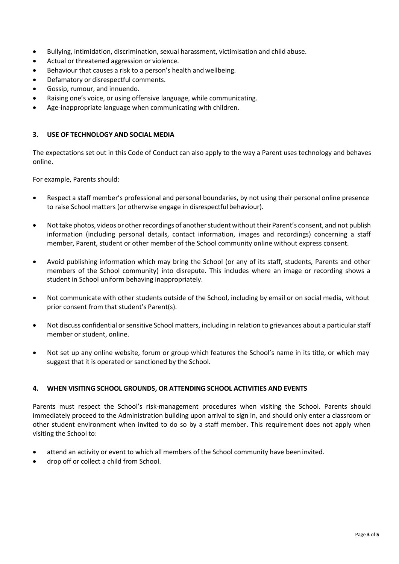- Bullying, intimidation, discrimination, sexual harassment, victimisation and child abuse.
- Actual or threatened aggression or violence.
- Behaviour that causes a risk to a person's health and wellbeing.
- Defamatory or disrespectful comments.
- Gossip, rumour, and innuendo.
- Raising one's voice, or using offensive language, while communicating.
- Age-inappropriate language when communicating with children.

## **3. USE OF TECHNOLOGY AND SOCIAL MEDIA**

The expectations set out in this Code of Conduct can also apply to the way a Parent uses technology and behaves online.

For example, Parents should:

- Respect a staff member's professional and personal boundaries, by not using their personal online presence to raise School matters (or otherwise engage in disrespectful behaviour).
- Not take photos, videos or other recordings of another student without their Parent's consent, and not publish information (including personal details, contact information, images and recordings) concerning a staff member, Parent, student or other member of the School community online without express consent.
- Avoid publishing information which may bring the School (or any of its staff, students, Parents and other members of the School community) into disrepute. This includes where an image or recording shows a student in School uniform behaving inappropriately.
- Not communicate with other students outside of the School, including by email or on social media, without prior consent from that student's Parent(s).
- Not discuss confidential or sensitive School matters, including in relation to grievances about a particular staff member or student, online.
- Not set up any online website, forum or group which features the School's name in its title, or which may suggest that it is operated or sanctioned by the School.

#### **4. WHEN VISITING SCHOOL GROUNDS, OR ATTENDING SCHOOL ACTIVITIES AND EVENTS**

Parents must respect the School's risk-management procedures when visiting the School. Parents should immediately proceed to the Administration building upon arrival to sign in, and should only enter a classroom or other student environment when invited to do so by a staff member. This requirement does not apply when visiting the School to:

- attend an activity or event to which all members of the School community have been invited.
- drop off or collect a child from School.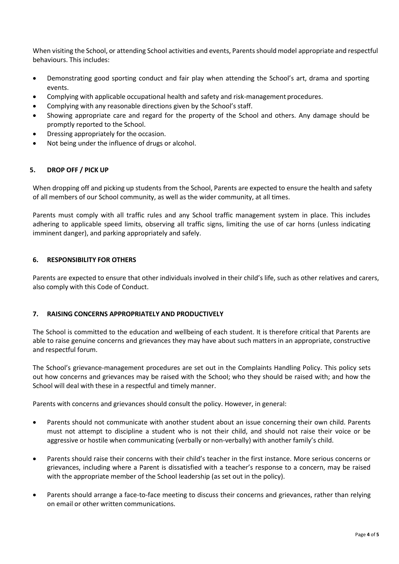When visiting the School, or attending School activities and events, Parents should model appropriate and respectful behaviours. This includes:

- Demonstrating good sporting conduct and fair play when attending the School's art, drama and sporting events.
- Complying with applicable occupational health and safety and risk-management procedures.
- Complying with any reasonable directions given by the School's staff.
- Showing appropriate care and regard for the property of the School and others. Any damage should be promptly reported to the School.
- Dressing appropriately for the occasion.
- Not being under the influence of drugs or alcohol.

#### **5. DROP OFF / PICK UP**

When dropping off and picking up students from the School, Parents are expected to ensure the health and safety of all members of our School community, as well as the wider community, at all times.

Parents must comply with all traffic rules and any School traffic management system in place. This includes adhering to applicable speed limits, observing all traffic signs, limiting the use of car horns (unless indicating imminent danger), and parking appropriately and safely.

## **6. RESPONSIBILITY FOR OTHERS**

Parents are expected to ensure that other individuals involved in their child's life, such as other relatives and carers, also comply with this Code of Conduct.

#### **7. RAISING CONCERNS APPROPRIATELY AND PRODUCTIVELY**

The School is committed to the education and wellbeing of each student. It is therefore critical that Parents are able to raise genuine concerns and grievances they may have about such matters in an appropriate, constructive and respectful forum.

The School's grievance-management procedures are set out in the Complaints Handling Policy. This policy sets out how concerns and grievances may be raised with the School; who they should be raised with; and how the School will deal with these in a respectful and timely manner.

Parents with concerns and grievances should consult the policy. However, in general:

- Parents should not communicate with another student about an issue concerning their own child. Parents must not attempt to discipline a student who is not their child, and should not raise their voice or be aggressive or hostile when communicating (verbally or non-verbally) with another family's child.
- Parents should raise their concerns with their child's teacher in the first instance. More serious concerns or grievances, including where a Parent is dissatisfied with a teacher's response to a concern, may be raised with the appropriate member of the School leadership (as set out in the policy).
- Parents should arrange a face-to-face meeting to discuss their concerns and grievances, rather than relying on email or other written communications.